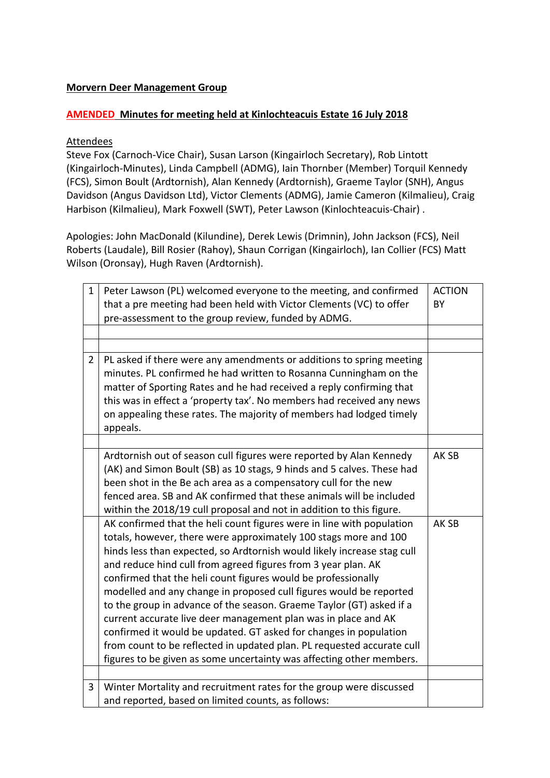## **Morvern Deer Management Group**

## **AMENDED Minutes for meeting held at Kinlochteacuis Estate 16 July 2018**

## Attendees

Steve Fox (Carnoch-Vice Chair), Susan Larson (Kingairloch Secretary), Rob Lintott (Kingairloch-Minutes), Linda Campbell (ADMG), Iain Thornber (Member) Torquil Kennedy (FCS), Simon Boult (Ardtornish), Alan Kennedy (Ardtornish), Graeme Taylor (SNH), Angus Davidson (Angus Davidson Ltd), Victor Clements (ADMG), Jamie Cameron (Kilmalieu), Craig Harbison (Kilmalieu), Mark Foxwell (SWT), Peter Lawson (Kinlochteacuis-Chair) .

Apologies: John MacDonald (Kilundine), Derek Lewis (Drimnin), John Jackson (FCS), Neil Roberts (Laudale), Bill Rosier (Rahoy), Shaun Corrigan (Kingairloch), Ian Collier (FCS) Matt Wilson (Oronsay), Hugh Raven (Ardtornish).

| $\mathbf{1}$   | Peter Lawson (PL) welcomed everyone to the meeting, and confirmed       | <b>ACTION</b> |
|----------------|-------------------------------------------------------------------------|---------------|
|                | that a pre meeting had been held with Victor Clements (VC) to offer     | BY            |
|                | pre-assessment to the group review, funded by ADMG.                     |               |
|                |                                                                         |               |
|                |                                                                         |               |
| $\overline{2}$ | PL asked if there were any amendments or additions to spring meeting    |               |
|                | minutes. PL confirmed he had written to Rosanna Cunningham on the       |               |
|                | matter of Sporting Rates and he had received a reply confirming that    |               |
|                | this was in effect a 'property tax'. No members had received any news   |               |
|                | on appealing these rates. The majority of members had lodged timely     |               |
|                | appeals.                                                                |               |
|                |                                                                         |               |
|                | Ardtornish out of season cull figures were reported by Alan Kennedy     | AK SB         |
|                | (AK) and Simon Boult (SB) as 10 stags, 9 hinds and 5 calves. These had  |               |
|                | been shot in the Be ach area as a compensatory cull for the new         |               |
|                | fenced area. SB and AK confirmed that these animals will be included    |               |
|                | within the 2018/19 cull proposal and not in addition to this figure.    |               |
|                | AK confirmed that the heli count figures were in line with population   | AK SB         |
|                | totals, however, there were approximately 100 stags more and 100        |               |
|                | hinds less than expected, so Ardtornish would likely increase stag cull |               |
|                | and reduce hind cull from agreed figures from 3 year plan. AK           |               |
|                | confirmed that the heli count figures would be professionally           |               |
|                | modelled and any change in proposed cull figures would be reported      |               |
|                | to the group in advance of the season. Graeme Taylor (GT) asked if a    |               |
|                | current accurate live deer management plan was in place and AK          |               |
|                | confirmed it would be updated. GT asked for changes in population       |               |
|                | from count to be reflected in updated plan. PL requested accurate cull  |               |
|                | figures to be given as some uncertainty was affecting other members.    |               |
|                |                                                                         |               |
| 3              | Winter Mortality and recruitment rates for the group were discussed     |               |
|                | and reported, based on limited counts, as follows:                      |               |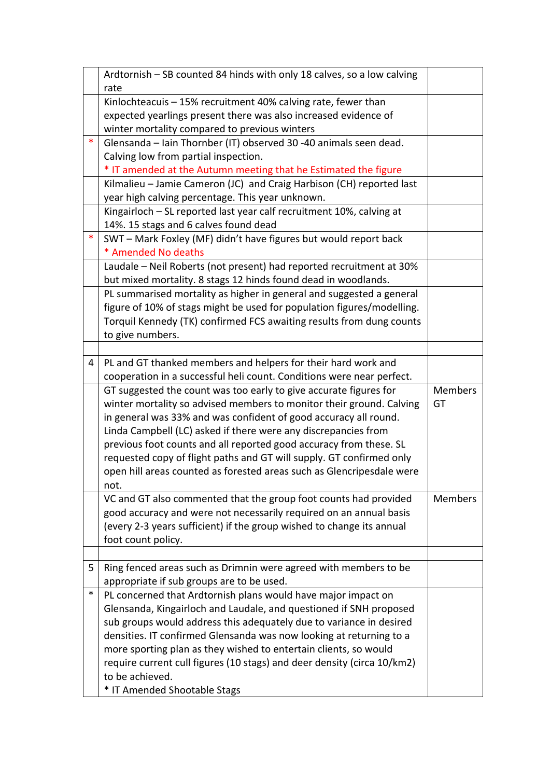|   | Ardtornish – SB counted 84 hinds with only 18 calves, so a low calving  |                |
|---|-------------------------------------------------------------------------|----------------|
|   | rate                                                                    |                |
|   | Kinlochteacuis - 15% recruitment 40% calving rate, fewer than           |                |
|   | expected yearlings present there was also increased evidence of         |                |
|   | winter mortality compared to previous winters                           |                |
| ∗ | Glensanda - Iain Thornber (IT) observed 30 -40 animals seen dead.       |                |
|   | Calving low from partial inspection.                                    |                |
|   | * IT amended at the Autumn meeting that he Estimated the figure         |                |
|   | Kilmalieu - Jamie Cameron (JC) and Craig Harbison (CH) reported last    |                |
|   | year high calving percentage. This year unknown.                        |                |
|   | Kingairloch - SL reported last year calf recruitment 10%, calving at    |                |
|   | 14%. 15 stags and 6 calves found dead                                   |                |
| ∗ | SWT - Mark Foxley (MF) didn't have figures but would report back        |                |
|   | * Amended No deaths                                                     |                |
|   | Laudale - Neil Roberts (not present) had reported recruitment at 30%    |                |
|   | but mixed mortality. 8 stags 12 hinds found dead in woodlands.          |                |
|   | PL summarised mortality as higher in general and suggested a general    |                |
|   | figure of 10% of stags might be used for population figures/modelling.  |                |
|   | Torquil Kennedy (TK) confirmed FCS awaiting results from dung counts    |                |
|   | to give numbers.                                                        |                |
|   |                                                                         |                |
| 4 | PL and GT thanked members and helpers for their hard work and           |                |
|   | cooperation in a successful heli count. Conditions were near perfect.   |                |
|   | GT suggested the count was too early to give accurate figures for       | <b>Members</b> |
|   | winter mortality so advised members to monitor their ground. Calving    |                |
|   |                                                                         | GT             |
|   | in general was 33% and was confident of good accuracy all round.        |                |
|   | Linda Campbell (LC) asked if there were any discrepancies from          |                |
|   | previous foot counts and all reported good accuracy from these. SL      |                |
|   | requested copy of flight paths and GT will supply. GT confirmed only    |                |
|   | open hill areas counted as forested areas such as Glencripesdale were   |                |
|   | not.                                                                    |                |
|   | VC and GT also commented that the group foot counts had provided        | <b>Members</b> |
|   | good accuracy and were not necessarily required on an annual basis      |                |
|   | (every 2-3 years sufficient) if the group wished to change its annual   |                |
|   | foot count policy.                                                      |                |
|   |                                                                         |                |
| 5 | Ring fenced areas such as Drimnin were agreed with members to be        |                |
|   | appropriate if sub groups are to be used.                               |                |
| ∗ | PL concerned that Ardtornish plans would have major impact on           |                |
|   | Glensanda, Kingairloch and Laudale, and questioned if SNH proposed      |                |
|   | sub groups would address this adequately due to variance in desired     |                |
|   | densities. IT confirmed Glensanda was now looking at returning to a     |                |
|   | more sporting plan as they wished to entertain clients, so would        |                |
|   | require current cull figures (10 stags) and deer density (circa 10/km2) |                |
|   | to be achieved.<br>* IT Amended Shootable Stags                         |                |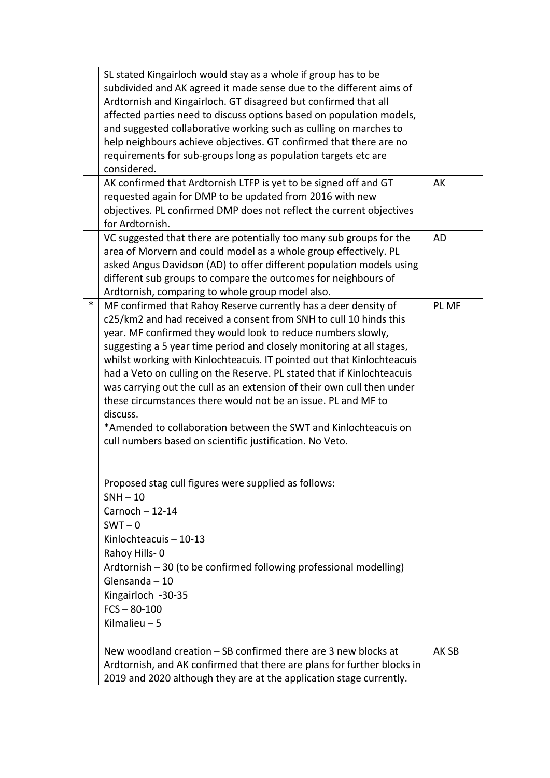|   | SL stated Kingairloch would stay as a whole if group has to be<br>subdivided and AK agreed it made sense due to the different aims of<br>Ardtornish and Kingairloch. GT disagreed but confirmed that all<br>affected parties need to discuss options based on population models,<br>and suggested collaborative working such as culling on marches to                                                                                                                                                                                                                                                                                                                                                                   |           |
|---|-------------------------------------------------------------------------------------------------------------------------------------------------------------------------------------------------------------------------------------------------------------------------------------------------------------------------------------------------------------------------------------------------------------------------------------------------------------------------------------------------------------------------------------------------------------------------------------------------------------------------------------------------------------------------------------------------------------------------|-----------|
|   | help neighbours achieve objectives. GT confirmed that there are no<br>requirements for sub-groups long as population targets etc are<br>considered.                                                                                                                                                                                                                                                                                                                                                                                                                                                                                                                                                                     |           |
|   | AK confirmed that Ardtornish LTFP is yet to be signed off and GT<br>requested again for DMP to be updated from 2016 with new<br>objectives. PL confirmed DMP does not reflect the current objectives<br>for Ardtornish.                                                                                                                                                                                                                                                                                                                                                                                                                                                                                                 | AK        |
|   | VC suggested that there are potentially too many sub groups for the<br>area of Morvern and could model as a whole group effectively. PL<br>asked Angus Davidson (AD) to offer different population models using<br>different sub groups to compare the outcomes for neighbours of<br>Ardtornish, comparing to whole group model also.                                                                                                                                                                                                                                                                                                                                                                                   | <b>AD</b> |
| ∗ | MF confirmed that Rahoy Reserve currently has a deer density of<br>c25/km2 and had received a consent from SNH to cull 10 hinds this<br>year. MF confirmed they would look to reduce numbers slowly,<br>suggesting a 5 year time period and closely monitoring at all stages,<br>whilst working with Kinlochteacuis. IT pointed out that Kinlochteacuis<br>had a Veto on culling on the Reserve. PL stated that if Kinlochteacuis<br>was carrying out the cull as an extension of their own cull then under<br>these circumstances there would not be an issue. PL and MF to<br>discuss.<br>*Amended to collaboration between the SWT and Kinlochteacuis on<br>cull numbers based on scientific justification. No Veto. | PL MF     |
|   |                                                                                                                                                                                                                                                                                                                                                                                                                                                                                                                                                                                                                                                                                                                         |           |
|   | Proposed stag cull figures were supplied as follows:                                                                                                                                                                                                                                                                                                                                                                                                                                                                                                                                                                                                                                                                    |           |
|   | $SNH - 10$                                                                                                                                                                                                                                                                                                                                                                                                                                                                                                                                                                                                                                                                                                              |           |
|   | $Carnoch - 12-14$                                                                                                                                                                                                                                                                                                                                                                                                                                                                                                                                                                                                                                                                                                       |           |
|   | $SWT - 0$                                                                                                                                                                                                                                                                                                                                                                                                                                                                                                                                                                                                                                                                                                               |           |
|   | Kinlochteacuis - 10-13<br>Rahoy Hills-0                                                                                                                                                                                                                                                                                                                                                                                                                                                                                                                                                                                                                                                                                 |           |
|   | Ardtornish - 30 (to be confirmed following professional modelling)                                                                                                                                                                                                                                                                                                                                                                                                                                                                                                                                                                                                                                                      |           |
|   | Glensanda - 10                                                                                                                                                                                                                                                                                                                                                                                                                                                                                                                                                                                                                                                                                                          |           |
|   | Kingairloch -30-35                                                                                                                                                                                                                                                                                                                                                                                                                                                                                                                                                                                                                                                                                                      |           |
|   | $FCS - 80-100$                                                                                                                                                                                                                                                                                                                                                                                                                                                                                                                                                                                                                                                                                                          |           |
|   | Kilmalieu - 5                                                                                                                                                                                                                                                                                                                                                                                                                                                                                                                                                                                                                                                                                                           |           |
|   | New woodland creation - SB confirmed there are 3 new blocks at<br>Ardtornish, and AK confirmed that there are plans for further blocks in<br>2019 and 2020 although they are at the application stage currently.                                                                                                                                                                                                                                                                                                                                                                                                                                                                                                        | AK SB     |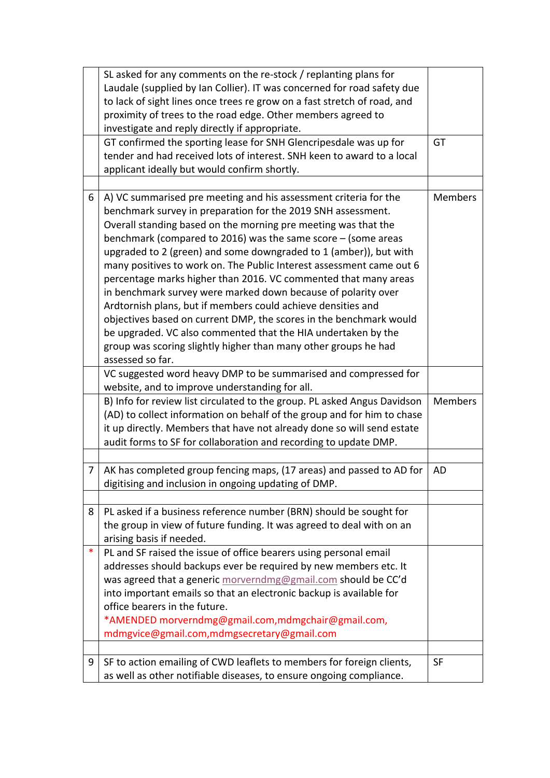|   | SL asked for any comments on the re-stock / replanting plans for<br>Laudale (supplied by Ian Collier). IT was concerned for road safety due |                |
|---|---------------------------------------------------------------------------------------------------------------------------------------------|----------------|
|   | to lack of sight lines once trees re grow on a fast stretch of road, and                                                                    |                |
|   | proximity of trees to the road edge. Other members agreed to                                                                                |                |
|   | investigate and reply directly if appropriate.                                                                                              |                |
|   | GT confirmed the sporting lease for SNH Glencripesdale was up for                                                                           | GT             |
|   | tender and had received lots of interest. SNH keen to award to a local                                                                      |                |
|   | applicant ideally but would confirm shortly.                                                                                                |                |
|   |                                                                                                                                             |                |
| 6 | A) VC summarised pre meeting and his assessment criteria for the                                                                            | <b>Members</b> |
|   | benchmark survey in preparation for the 2019 SNH assessment.                                                                                |                |
|   | Overall standing based on the morning pre meeting was that the                                                                              |                |
|   | benchmark (compared to 2016) was the same score $-$ (some areas                                                                             |                |
|   | upgraded to 2 (green) and some downgraded to 1 (amber)), but with<br>many positives to work on. The Public Interest assessment came out 6   |                |
|   | percentage marks higher than 2016. VC commented that many areas                                                                             |                |
|   | in benchmark survey were marked down because of polarity over                                                                               |                |
|   | Ardtornish plans, but if members could achieve densities and                                                                                |                |
|   | objectives based on current DMP, the scores in the benchmark would                                                                          |                |
|   | be upgraded. VC also commented that the HIA undertaken by the                                                                               |                |
|   | group was scoring slightly higher than many other groups he had                                                                             |                |
|   | assessed so far.                                                                                                                            |                |
|   | VC suggested word heavy DMP to be summarised and compressed for                                                                             |                |
|   | website, and to improve understanding for all.                                                                                              |                |
|   | B) Info for review list circulated to the group. PL asked Angus Davidson                                                                    | <b>Members</b> |
|   | (AD) to collect information on behalf of the group and for him to chase                                                                     |                |
|   | it up directly. Members that have not already done so will send estate                                                                      |                |
|   | audit forms to SF for collaboration and recording to update DMP.                                                                            |                |
|   |                                                                                                                                             |                |
| 7 | AK has completed group fencing maps, (17 areas) and passed to AD for                                                                        | AD             |
|   | digitising and inclusion in ongoing updating of DMP.                                                                                        |                |
|   |                                                                                                                                             |                |
| 8 | PL asked if a business reference number (BRN) should be sought for                                                                          |                |
|   | the group in view of future funding. It was agreed to deal with on an                                                                       |                |
|   | arising basis if needed.                                                                                                                    |                |
| ∗ | PL and SF raised the issue of office bearers using personal email                                                                           |                |
|   | addresses should backups ever be required by new members etc. It                                                                            |                |
|   | was agreed that a generic morverndmg@gmail.com should be CC'd                                                                               |                |
|   | into important emails so that an electronic backup is available for                                                                         |                |
|   | office bearers in the future.                                                                                                               |                |
|   | *AMENDED morverndmg@gmail.com,mdmgchair@gmail.com,                                                                                          |                |
|   | mdmgvice@gmail.com,mdmgsecretary@gmail.com                                                                                                  |                |
|   |                                                                                                                                             |                |
| 9 | SF to action emailing of CWD leaflets to members for foreign clients,                                                                       | <b>SF</b>      |
|   | as well as other notifiable diseases, to ensure ongoing compliance.                                                                         |                |